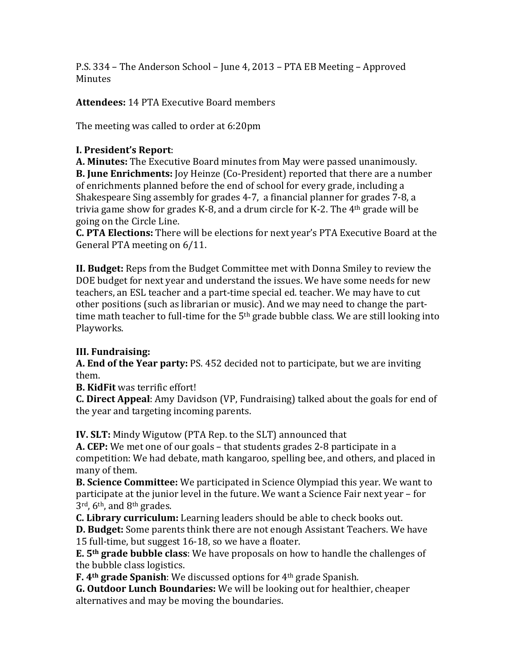P.S. 334 – The Anderson School – June 4, 2013 – PTA EB Meeting – Approved Minutes

**Attendees: 14 PTA Executive Board members** 

The meeting was called to order at 6:20pm

## **I. President's Report**:

**A. Minutes:** The Executive Board minutes from May were passed unanimously. **B. June Enrichments:** Joy Heinze (Co-President) reported that there are a number of enrichments planned before the end of school for every grade, including a Shakespeare Sing assembly for grades 4-7, a financial planner for grades 7-8, a trivia game show for grades K-8, and a drum circle for K-2. The  $4<sup>th</sup>$  grade will be going on the Circle Line.

**C.** PTA Elections: There will be elections for next year's PTA Executive Board at the General PTA meeting on 6/11.

**II. Budget:** Reps from the Budget Committee met with Donna Smiley to review the DOE budget for next year and understand the issues. We have some needs for new teachers, an ESL teacher and a part-time special ed. teacher. We may have to cut other positions (such as librarian or music). And we may need to change the parttime math teacher to full-time for the  $5<sup>th</sup>$  grade bubble class. We are still looking into Playworks.

## **III. Fundraising:**

**A. End of the Year party:** PS. 452 decided not to participate, but we are inviting them. 

**B.** KidFit was terrific effort!

**C. Direct Appeal**: Amy Davidson (VP, Fundraising) talked about the goals for end of the year and targeting incoming parents.

**IV. SLT:** Mindy Wigutow (PTA Rep. to the SLT) announced that

**A.** CEP: We met one of our goals – that students grades 2-8 participate in a competition: We had debate, math kangaroo, spelling bee, and others, and placed in many of them.

**B. Science Committee:** We participated in Science Olympiad this year. We want to participate at the junior level in the future. We want a Science Fair next year – for  $3^{\text{rd}}$ , 6<sup>th</sup>, and  $8^{\text{th}}$  grades.

**C.** Library curriculum: Learning leaders should be able to check books out.

**D. Budget:** Some parents think there are not enough Assistant Teachers. We have 15 full-time, but suggest 16-18, so we have a floater.

**E.** 5<sup>th</sup> grade bubble class: We have proposals on how to handle the challenges of the bubble class logistics.

**F.** 4<sup>th</sup> grade Spanish: We discussed options for 4<sup>th</sup> grade Spanish.

**G. Outdoor Lunch Boundaries:** We will be looking out for healthier, cheaper alternatives and may be moving the boundaries.